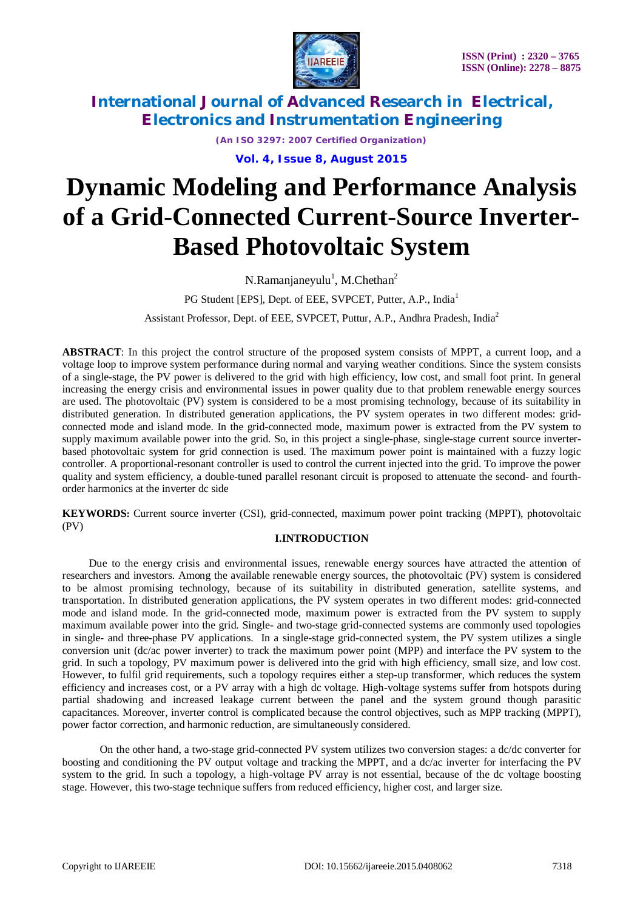

*(An ISO 3297: 2007 Certified Organization)*

**Vol. 4, Issue 8, August 2015**

# **Dynamic Modeling and Performance Analysis of a Grid-Connected Current-Source Inverter-Based Photovoltaic System**

N.Ramanjaneyulu<sup>1</sup>, M.Chethan<sup>2</sup>

PG Student [EPS], Dept. of EEE, SVPCET, Putter, A.P., India<sup>1</sup>

Assistant Professor, Dept. of EEE, SVPCET, Puttur, A.P., Andhra Pradesh, India<sup>2</sup>

**ABSTRACT**: In this project the control structure of the proposed system consists of MPPT, a current loop, and a voltage loop to improve system performance during normal and varying weather conditions. Since the system consists of a single-stage, the PV power is delivered to the grid with high efficiency, low cost, and small foot print. In general increasing the energy crisis and environmental issues in power quality due to that problem renewable energy sources are used. The photovoltaic (PV) system is considered to be a most promising technology, because of its suitability in distributed generation. In distributed generation applications, the PV system operates in two different modes: gridconnected mode and island mode. In the grid-connected mode, maximum power is extracted from the PV system to supply maximum available power into the grid. So, in this project a single-phase, single-stage current source inverterbased photovoltaic system for grid connection is used. The maximum power point is maintained with a fuzzy logic controller. A proportional-resonant controller is used to control the current injected into the grid. To improve the power quality and system efficiency, a double-tuned parallel resonant circuit is proposed to attenuate the second- and fourthorder harmonics at the inverter dc side

**KEYWORDS:** Current source inverter (CSI), grid-connected, maximum power point tracking (MPPT), photovoltaic (PV)

### **I.INTRODUCTION**

 Due to the energy crisis and environmental issues, renewable energy sources have attracted the attention of researchers and investors. Among the available renewable energy sources, the photovoltaic (PV) system is considered to be almost promising technology, because of its suitability in distributed generation, satellite systems, and transportation. In distributed generation applications, the PV system operates in two different modes: grid-connected mode and island mode. In the grid-connected mode, maximum power is extracted from the PV system to supply maximum available power into the grid. Single- and two-stage grid-connected systems are commonly used topologies in single- and three-phase PV applications. In a single-stage grid-connected system, the PV system utilizes a single conversion unit (dc/ac power inverter) to track the maximum power point (MPP) and interface the PV system to the grid. In such a topology, PV maximum power is delivered into the grid with high efficiency, small size, and low cost. However, to fulfil grid requirements, such a topology requires either a step-up transformer, which reduces the system efficiency and increases cost, or a PV array with a high dc voltage. High-voltage systems suffer from hotspots during partial shadowing and increased leakage current between the panel and the system ground though parasitic capacitances. Moreover, inverter control is complicated because the control objectives, such as MPP tracking (MPPT), power factor correction, and harmonic reduction, are simultaneously considered.

 On the other hand, a two-stage grid-connected PV system utilizes two conversion stages: a dc/dc converter for boosting and conditioning the PV output voltage and tracking the MPPT, and a dc/ac inverter for interfacing the PV system to the grid. In such a topology, a high-voltage PV array is not essential, because of the dc voltage boosting stage. However, this two-stage technique suffers from reduced efficiency, higher cost, and larger size.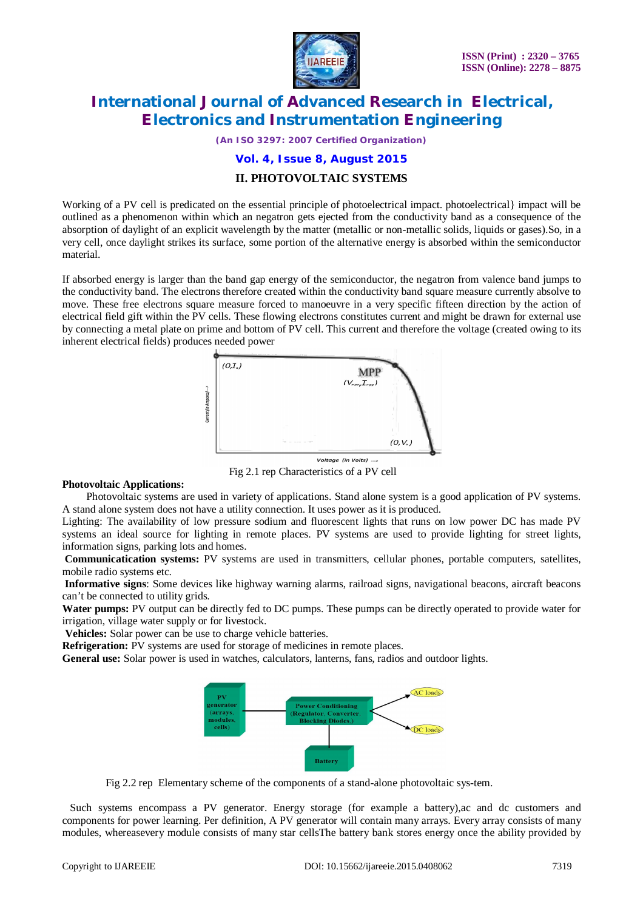

*(An ISO 3297: 2007 Certified Organization)*

**Vol. 4, Issue 8, August 2015**

### **II. PHOTOVOLTAIC SYSTEMS**

Working of a PV cell is predicated on the essential principle of photoelectrical impact. photoelectrical mpact will be outlined as a phenomenon within which an negatron gets ejected from the conductivity band as a consequence of the absorption of daylight of an explicit wavelength by the matter (metallic or non-metallic solids, liquids or gases).So, in a very cell, once daylight strikes its surface, some portion of the alternative energy is absorbed within the semiconductor material.

If absorbed energy is larger than the band gap energy of the semiconductor, the negatron from valence band jumps to the conductivity band. The electrons therefore created within the conductivity band square measure currently absolve to move. These free electrons square measure forced to manoeuvre in a very specific fifteen direction by the action of electrical field gift within the PV cells. These flowing electrons constitutes current and might be drawn for external use by connecting a metal plate on prime and bottom of PV cell. This current and therefore the voltage (created owing to its inherent electrical fields) produces needed power



Fig 2.1 rep Characteristics of a PV cell

### **Photovoltaic Applications:**

 Photovoltaic systems are used in variety of applications. Stand alone system is a good application of PV systems. A stand alone system does not have a utility connection. It uses power as it is produced.

Lighting: The availability of low pressure sodium and fluorescent lights that runs on low power DC has made PV systems an ideal source for lighting in remote places. PV systems are used to provide lighting for street lights, information signs, parking lots and homes.

**Communicatication systems:** PV systems are used in transmitters, cellular phones, portable computers, satellites, mobile radio systems etc.

**Informative signs**: Some devices like highway warning alarms, railroad signs, navigational beacons, aircraft beacons can't be connected to utility grids.

**Water pumps:** PV output can be directly fed to DC pumps. These pumps can be directly operated to provide water for irrigation, village water supply or for livestock.

**Vehicles:** Solar power can be use to charge vehicle batteries.

**Refrigeration:** PV systems are used for storage of medicines in remote places.

**General use:** Solar power is used in watches, calculators, lanterns, fans, radios and outdoor lights.



Fig 2.2 rep Elementary scheme of the components of a stand-alone photovoltaic sys-tem.

Such systems encompass a PV generator. Energy storage (for example a battery), ac and dc customers and components for power learning. Per definition, A PV generator will contain many arrays. Every array consists of many modules, whereasevery module consists of many star cellsThe battery bank stores energy once the ability provided by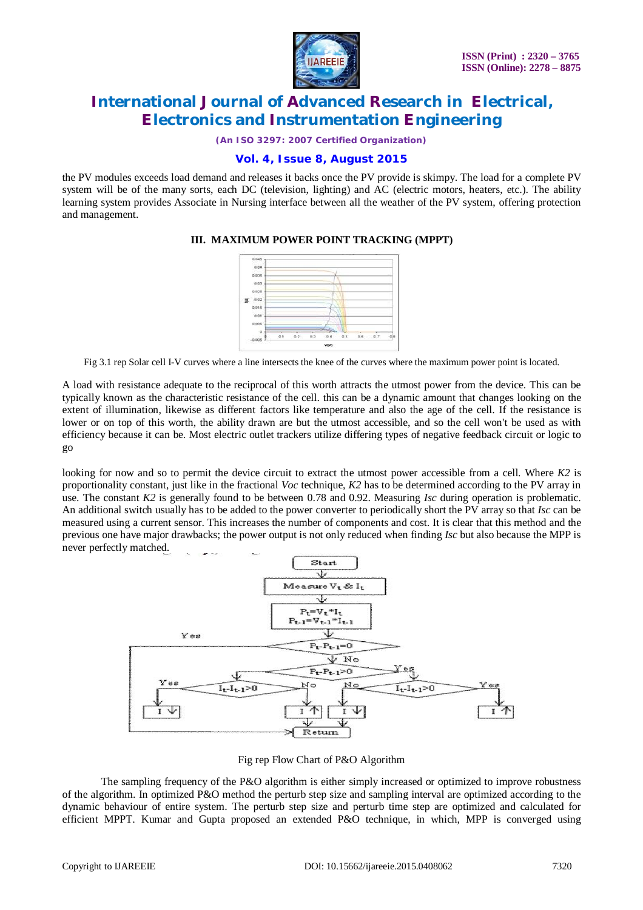

*(An ISO 3297: 2007 Certified Organization)*

### **Vol. 4, Issue 8, August 2015**

the PV modules exceeds load demand and releases it backs once the PV provide is skimpy. The load for a complete PV system will be of the many sorts, each DC (television, lighting) and AC (electric motors, heaters, etc.). The ability learning system provides Associate in Nursing interface between all the weather of the PV system, offering protection and management.

### **III. MAXIMUM POWER POINT TRACKING (MPPT)**



Fig 3.1 rep Solar cell I-V curves where a line intersects the knee of the curves where the maximum power point is located.

A load with resistance adequate to the reciprocal of this worth attracts the utmost power from the device. This can be typically known as the characteristic resistance of the cell. this can be a dynamic amount that changes looking on the extent of illumination, likewise as different factors like temperature and also the age of the cell. If the resistance is lower or on top of this worth, the ability drawn are but the utmost accessible, and so the cell won't be used as with efficiency because it can be. Most electric outlet trackers utilize differing types of negative feedback circuit or logic to go

looking for now and so to permit the device circuit to extract the utmost power accessible from a cell. Where *K2* is proportionality constant, just like in the fractional *Voc* technique, *K2* has to be determined according to the PV array in use. The constant *K2* is generally found to be between 0.78 and 0.92. Measuring *Isc* during operation is problematic. An additional switch usually has to be added to the power converter to periodically short the PV array so that *Isc* can be measured using a current sensor. This increases the number of components and cost. It is clear that this method and the previous one have major drawbacks; the power output is not only reduced when finding *Isc* but also because the MPP is never perfectly matched.



Fig rep Flow Chart of P&O Algorithm

The sampling frequency of the P&O algorithm is either simply increased or optimized to improve robustness of the algorithm. In optimized P&O method the perturb step size and sampling interval are optimized according to the dynamic behaviour of entire system. The perturb step size and perturb time step are optimized and calculated for efficient MPPT. Kumar and Gupta proposed an extended P&O technique, in which, MPP is converged using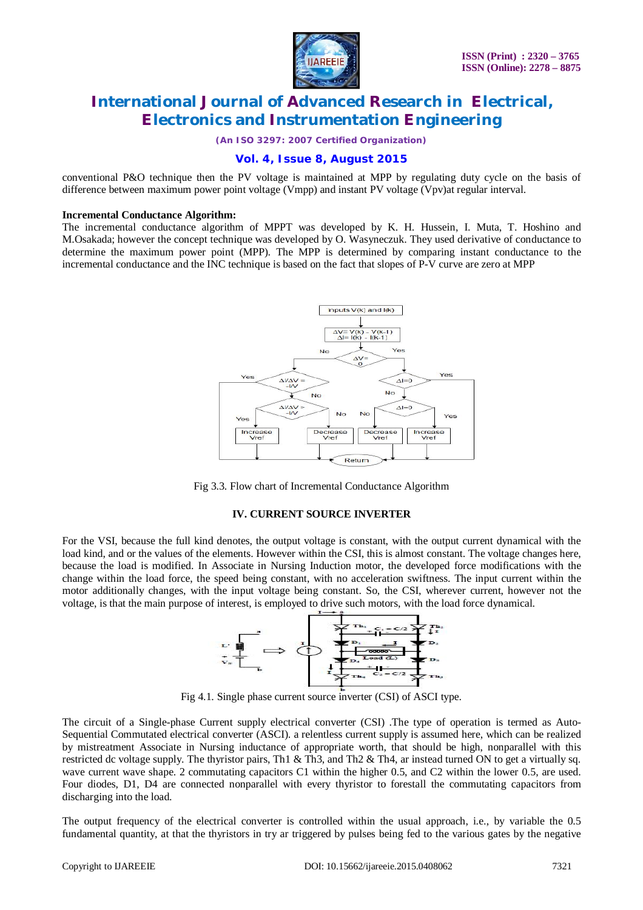

*(An ISO 3297: 2007 Certified Organization)*

### **Vol. 4, Issue 8, August 2015**

conventional P&O technique then the PV voltage is maintained at MPP by regulating duty cycle on the basis of difference between maximum power point voltage (Vmpp) and instant PV voltage (Vpv)at regular interval.

### **Incremental Conductance Algorithm:**

The incremental conductance algorithm of MPPT was developed by K. H. Hussein, I. Muta, T. Hoshino and M.Osakada; however the concept technique was developed by O. Wasyneczuk. They used derivative of conductance to determine the maximum power point (MPP). The MPP is determined by comparing instant conductance to the incremental conductance and the INC technique is based on the fact that slopes of P-V curve are zero at MPP



Fig 3.3. Flow chart of Incremental Conductance Algorithm

### **IV. CURRENT SOURCE INVERTER**

For the VSI, because the full kind denotes, the output voltage is constant, with the output current dynamical with the load kind, and or the values of the elements. However within the CSI, this is almost constant. The voltage changes here, because the load is modified. In Associate in Nursing Induction motor, the developed force modifications with the change within the load force, the speed being constant, with no acceleration swiftness. The input current within the motor additionally changes, with the input voltage being constant. So, the CSI, wherever current, however not the voltage, is that the main purpose of interest, is employed to drive such motors, with the load force dynamical.



Fig 4.1. Single phase current source inverter (CSI) of ASCI type.

The circuit of a Single-phase Current supply electrical converter (CSI) .The type of operation is termed as Auto-Sequential Commutated electrical converter (ASCI). a relentless current supply is assumed here, which can be realized by mistreatment Associate in Nursing inductance of appropriate worth, that should be high, nonparallel with this restricted dc voltage supply. The thyristor pairs, Th1 & Th3, and Th2 & Th4, ar instead turned ON to get a virtually sq. wave current wave shape. 2 commutating capacitors C1 within the higher 0.5, and C2 within the lower 0.5, are used. Four diodes, D1, D4 are connected nonparallel with every thyristor to forestall the commutating capacitors from discharging into the load.

The output frequency of the electrical converter is controlled within the usual approach, i.e., by variable the 0.5 fundamental quantity, at that the thyristors in try ar triggered by pulses being fed to the various gates by the negative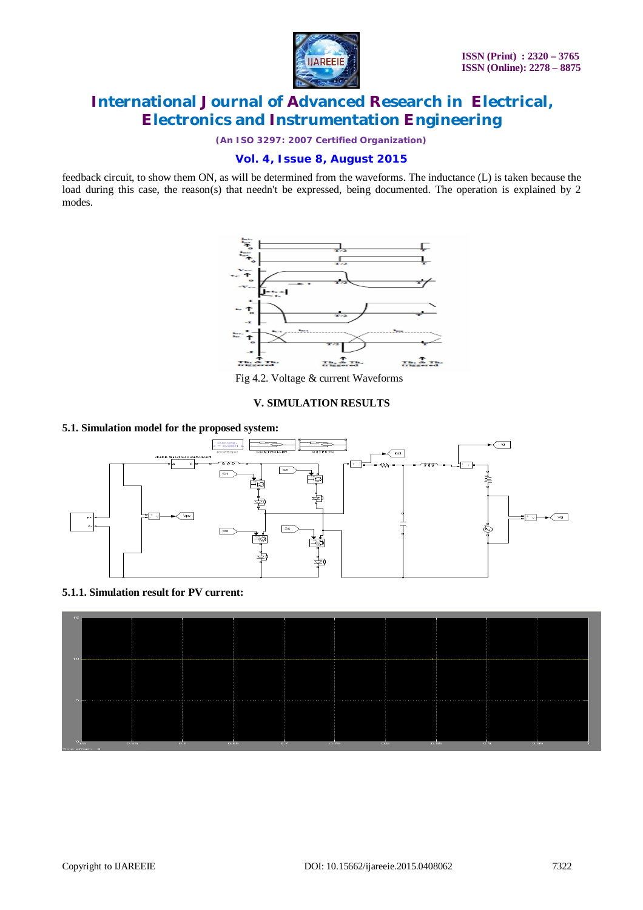

*(An ISO 3297: 2007 Certified Organization)*

### **Vol. 4, Issue 8, August 2015**

feedback circuit, to show them ON, as will be determined from the waveforms. The inductance (L) is taken because the load during this case, the reason(s) that needn't be expressed, being documented. The operation is explained by 2 modes.



Fig 4.2. Voltage & current Waveforms

### **V. SIMULATION RESULTS**

### **5.1. Simulation model for the proposed system:**



### **5.1.1. Simulation result for PV current:**

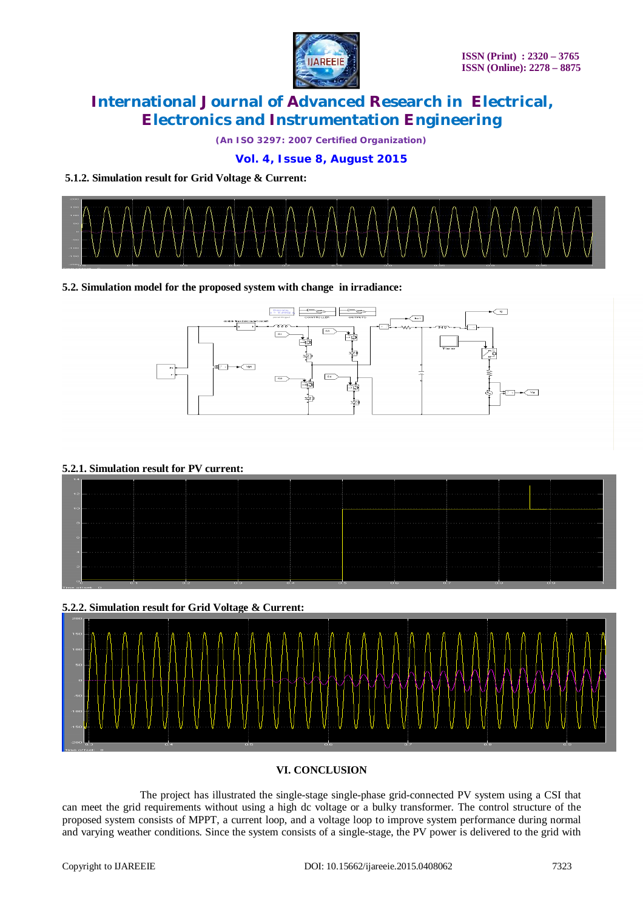

*(An ISO 3297: 2007 Certified Organization)*

### **Vol. 4, Issue 8, August 2015**

### **5.1.2. Simulation result for Grid Voltage & Current:**



### **5.2. Simulation model for the proposed system with change in irradiance:**



### **5.2.1. Simulation result for PV current:**



# **5.2.2. Simulation result for Grid Voltage & Current:**

### **VI. CONCLUSION**

The project has illustrated the single-stage single-phase grid-connected PV system using a CSI that can meet the grid requirements without using a high dc voltage or a bulky transformer. The control structure of the proposed system consists of MPPT, a current loop, and a voltage loop to improve system performance during normal and varying weather conditions. Since the system consists of a single-stage, the PV power is delivered to the grid with